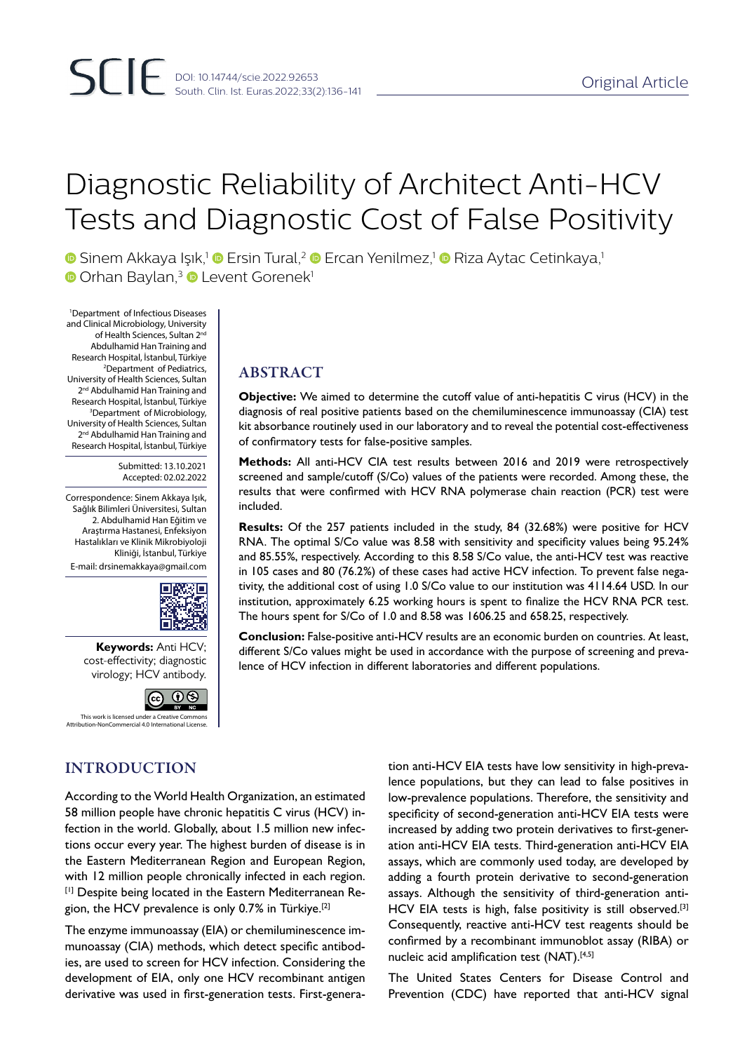# Diagnostic Reliability of Architect Anti-HCV Tests and Diagnostic Cost of False Positivity

**•** Sinem Akkaya Işık,<sup>1</sup> • Ersin Tural,<sup>2</sup> • Ercan Yenilmez,<sup>1</sup> • Riza Aytac Cetinkaya,<sup>1</sup> **O** Orhan Baylan,<sup>3</sup> D Levent Gorenek<sup>1</sup>

1 Department of Infectious Diseases and Clinical Microbiology, University of Health Sciences, Sultan 2<sup>nd</sup> Abdulhamid Han Training and Research Hospital, İstanbul, Türkiye 2 Department of Pediatrics, University of Health Sciences, Sultan 2<sup>nd</sup> Abdulhamid Han Training and Research Hospital, İstanbul, Türkiye 3 Department of Microbiology, University of Health Sciences, Sultan 2<sup>nd</sup> Abdulhamid Han Training and Research Hospital, İstanbul, Türkiye

> Submitted: 13.10.2021 Accepted: 02.02.2022

Correspondence: Sinem Akkaya Işık, Sağlık Bilimleri Üniversitesi, Sultan 2. Abdulhamid Han Eğitim ve Araştırma Hastanesi, Enfeksiyon Hastalıkları ve Klinik Mikrobiyoloji Kliniği, İstanbul, Türkiye

E-mail: drsinemakkaya@gmail.com



**Keywords:** Anti HCV; cost-effectivity; diagnostic virology; HCV antibody.



n-NonCommercial 4.0 Inte

## INTRODUCTION

According to the World Health Organization, an estimated 58 million people have chronic hepatitis C virus (HCV) infection in the world. Globally, about 1.5 million new infections occur every year. The highest burden of disease is in the Eastern Mediterranean Region and European Region, with 12 million people chronically infected in each region. [1] Despite being located in the Eastern Mediterranean Region, the HCV prevalence is only 0.7% in Türkiye.<sup>[2]</sup>

The enzyme immunoassay (EIA) or chemiluminescence immunoassay (CIA) methods, which detect specific antibodies, are used to screen for HCV infection. Considering the development of EIA, only one HCV recombinant antigen derivative was used in first-generation tests. First-genera-

# ABSTRACT

**Objective:** We aimed to determine the cutoff value of anti-hepatitis C virus (HCV) in the diagnosis of real positive patients based on the chemiluminescence immunoassay (CIA) test kit absorbance routinely used in our laboratory and to reveal the potential cost-effectiveness of confirmatory tests for false-positive samples.

**Methods:** All anti-HCV CIA test results between 2016 and 2019 were retrospectively screened and sample/cutoff (S/Co) values of the patients were recorded. Among these, the results that were confirmed with HCV RNA polymerase chain reaction (PCR) test were included.

**Results:** Of the 257 patients included in the study, 84 (32.68%) were positive for HCV RNA. The optimal S/Co value was 8.58 with sensitivity and specificity values being 95.24% and 85.55%, respectively. According to this 8.58 S/Co value, the anti-HCV test was reactive in 105 cases and 80 (76.2%) of these cases had active HCV infection. To prevent false negativity, the additional cost of using 1.0 S/Co value to our institution was 4114.64 USD. In our institution, approximately 6.25 working hours is spent to finalize the HCV RNA PCR test. The hours spent for S/Co of 1.0 and 8.58 was 1606.25 and 658.25, respectively.

**Conclusion:** False-positive anti-HCV results are an economic burden on countries. At least, different S/Co values might be used in accordance with the purpose of screening and prevalence of HCV infection in different laboratories and different populations.

> tion anti-HCV EIA tests have low sensitivity in high-prevalence populations, but they can lead to false positives in low-prevalence populations. Therefore, the sensitivity and specificity of second-generation anti-HCV EIA tests were increased by adding two protein derivatives to first-generation anti-HCV EIA tests. Third-generation anti-HCV EIA assays, which are commonly used today, are developed by adding a fourth protein derivative to second-generation assays. Although the sensitivity of third-generation anti-HCV EIA tests is high, false positivity is still observed.<sup>[3]</sup> Consequently, reactive anti-HCV test reagents should be confirmed by a recombinant immunoblot assay (RIBA) or nucleic acid amplification test (NAT).<sup>[4,5]</sup>

> The United States Centers for Disease Control and Prevention (CDC) have reported that anti-HCV signal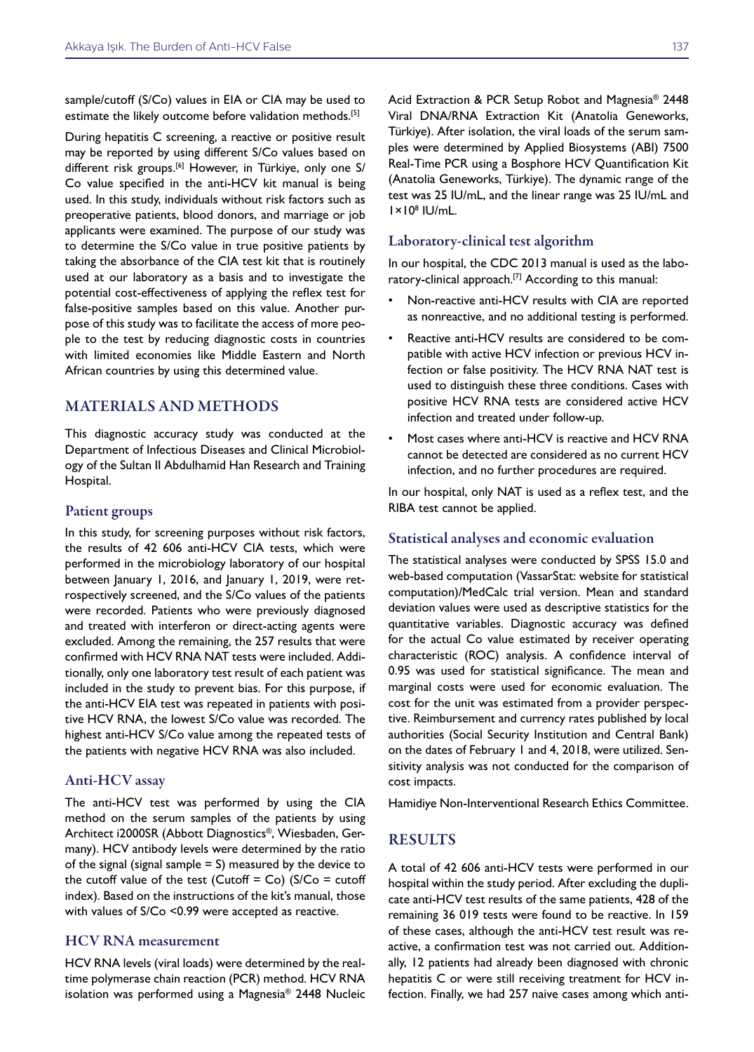sample/cutoff (S/Co) values in EIA or CIA may be used to estimate the likely outcome before validation methods.<sup>[5]</sup>

During hepatitis C screening, a reactive or positive result may be reported by using different S/Co values based on different risk groups.<sup>[6]</sup> However, in Türkiye, only one S/ Co value specified in the anti-HCV kit manual is being used. In this study, individuals without risk factors such as preoperative patients, blood donors, and marriage or job applicants were examined. The purpose of our study was to determine the S/Co value in true positive patients by taking the absorbance of the CIA test kit that is routinely used at our laboratory as a basis and to investigate the potential cost-effectiveness of applying the reflex test for false-positive samples based on this value. Another purpose of this study was to facilitate the access of more people to the test by reducing diagnostic costs in countries with limited economies like Middle Eastern and North African countries by using this determined value.

## MATERIALS AND METHODS

This diagnostic accuracy study was conducted at the Department of Infectious Diseases and Clinical Microbiology of the Sultan II Abdulhamid Han Research and Training Hospital.

#### Patient groups

In this study, for screening purposes without risk factors, the results of 42 606 anti-HCV CIA tests, which were performed in the microbiology laboratory of our hospital between January 1, 2016, and January 1, 2019, were retrospectively screened, and the S/Co values of the patients were recorded. Patients who were previously diagnosed and treated with interferon or direct-acting agents were excluded. Among the remaining, the 257 results that were confirmed with HCV RNA NAT tests were included. Additionally, only one laboratory test result of each patient was included in the study to prevent bias. For this purpose, if the anti-HCV EIA test was repeated in patients with positive HCV RNA, the lowest S/Co value was recorded. The highest anti-HCV S/Co value among the repeated tests of the patients with negative HCV RNA was also included.

#### Anti-HCV assay

The anti-HCV test was performed by using the CIA method on the serum samples of the patients by using Architect i2000SR (Abbott Diagnostics®, Wiesbaden, Germany). HCV antibody levels were determined by the ratio of the signal (signal sample  $= S$ ) measured by the device to the cutoff value of the test (Cutoff = Co) ( $S/Co$  = cutoff index). Based on the instructions of the kit's manual, those with values of S/Co <0.99 were accepted as reactive.

#### HCV RNA measurement

HCV RNA levels (viral loads) were determined by the realtime polymerase chain reaction (PCR) method. HCV RNA isolation was performed using a Magnesia® 2448 Nucleic Acid Extraction & PCR Setup Robot and Magnesia® 2448 Viral DNA/RNA Extraction Kit (Anatolia Geneworks, Türkiye). After isolation, the viral loads of the serum samples were determined by Applied Biosystems (ABI) 7500 Real-Time PCR using a Bosphore HCV Quantification Kit (Anatolia Geneworks, Türkiye). The dynamic range of the test was 25 IU/mL, and the linear range was 25 IU/mL and  $1 \times 10^8$  IU/mL.

#### Laboratory-clinical test algorithm

In our hospital, the CDC 2013 manual is used as the laboratory-clinical approach.[7] According to this manual:

- Non-reactive anti-HCV results with CIA are reported as nonreactive, and no additional testing is performed.
- Reactive anti-HCV results are considered to be compatible with active HCV infection or previous HCV infection or false positivity. The HCV RNA NAT test is used to distinguish these three conditions. Cases with positive HCV RNA tests are considered active HCV infection and treated under follow-up.
- Most cases where anti-HCV is reactive and HCV RNA cannot be detected are considered as no current HCV infection, and no further procedures are required.

In our hospital, only NAT is used as a reflex test, and the RIBA test cannot be applied.

#### Statistical analyses and economic evaluation

The statistical analyses were conducted by SPSS 15.0 and web-based computation (VassarStat: website for statistical computation)/MedCalc trial version. Mean and standard deviation values were used as descriptive statistics for the quantitative variables. Diagnostic accuracy was defined for the actual Co value estimated by receiver operating characteristic (ROC) analysis. A confidence interval of 0.95 was used for statistical significance. The mean and marginal costs were used for economic evaluation. The cost for the unit was estimated from a provider perspective. Reimbursement and currency rates published by local authorities (Social Security Institution and Central Bank) on the dates of February 1 and 4, 2018, were utilized. Sensitivity analysis was not conducted for the comparison of cost impacts.

Hamidiye Non-Interventional Research Ethics Committee.

### RESULTS

A total of 42 606 anti-HCV tests were performed in our hospital within the study period. After excluding the duplicate anti-HCV test results of the same patients, 428 of the remaining 36 019 tests were found to be reactive. In 159 of these cases, although the anti-HCV test result was reactive, a confirmation test was not carried out. Additionally, 12 patients had already been diagnosed with chronic hepatitis C or were still receiving treatment for HCV infection. Finally, we had 257 naive cases among which anti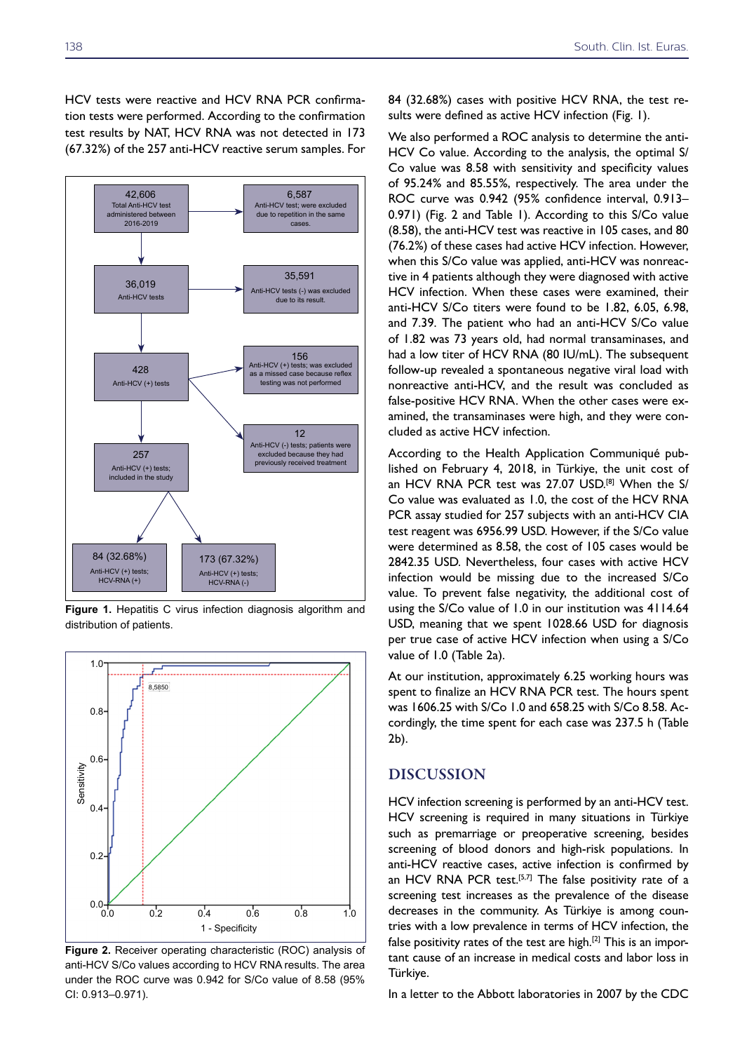HCV tests were reactive and HCV RNA PCR confirmation tests were performed. According to the confirmation test results by NAT, HCV RNA was not detected in 173 (67.32%) of the 257 anti-HCV reactive serum samples. For



**Figure 1.** Hepatitis C virus infection diagnosis algorithm and distribution of patients.



**Figure 2.** Receiver operating characteristic (ROC) analysis of anti-HCV S/Co values according to HCV RNA results. The area under the ROC curve was 0.942 for S/Co value of 8.58 (95% CI: 0.913–0.971).

84 (32.68%) cases with positive HCV RNA, the test results were defined as active HCV infection (Fig. 1).

We also performed a ROC analysis to determine the anti-HCV Co value. According to the analysis, the optimal S/ Co value was 8.58 with sensitivity and specificity values of 95.24% and 85.55%, respectively. The area under the ROC curve was 0.942 (95% confidence interval, 0.913– 0.971) (Fig. 2 and Table 1). According to this S/Co value (8.58), the anti-HCV test was reactive in 105 cases, and 80 (76.2%) of these cases had active HCV infection. However, when this S/Co value was applied, anti-HCV was nonreactive in 4 patients although they were diagnosed with active HCV infection. When these cases were examined, their anti-HCV S/Co titers were found to be 1.82, 6.05, 6.98, and 7.39. The patient who had an anti-HCV S/Co value of 1.82 was 73 years old, had normal transaminases, and had a low titer of HCV RNA (80 IU/mL). The subsequent follow-up revealed a spontaneous negative viral load with nonreactive anti-HCV, and the result was concluded as false-positive HCV RNA. When the other cases were examined, the transaminases were high, and they were concluded as active HCV infection.

According to the Health Application Communiqué published on February 4, 2018, in Türkiye, the unit cost of an HCV RNA PCR test was 27.07 USD.<sup>[8]</sup> When the S/ Co value was evaluated as 1.0, the cost of the HCV RNA PCR assay studied for 257 subjects with an anti-HCV CIA test reagent was 6956.99 USD. However, if the S/Co value were determined as 8.58, the cost of 105 cases would be 2842.35 USD. Nevertheless, four cases with active HCV infection would be missing due to the increased S/Co value. To prevent false negativity, the additional cost of using the S/Co value of 1.0 in our institution was 4114.64 USD, meaning that we spent 1028.66 USD for diagnosis per true case of active HCV infection when using a S/Co value of 1.0 (Table 2a).

At our institution, approximately 6.25 working hours was spent to finalize an HCV RNA PCR test. The hours spent was 1606.25 with S/Co 1.0 and 658.25 with S/Co 8.58. Accordingly, the time spent for each case was 237.5 h (Table 2b).

#### DISCUSSION

HCV infection screening is performed by an anti-HCV test. HCV screening is required in many situations in Türkiye such as premarriage or preoperative screening, besides screening of blood donors and high-risk populations. In anti-HCV reactive cases, active infection is confirmed by an HCV RNA PCR test.<sup>[5,7]</sup> The false positivity rate of a screening test increases as the prevalence of the disease decreases in the community. As Türkiye is among countries with a low prevalence in terms of HCV infection, the false positivity rates of the test are high.[2] This is an important cause of an increase in medical costs and labor loss in Türkiye.

In a letter to the Abbott laboratories in 2007 by the CDC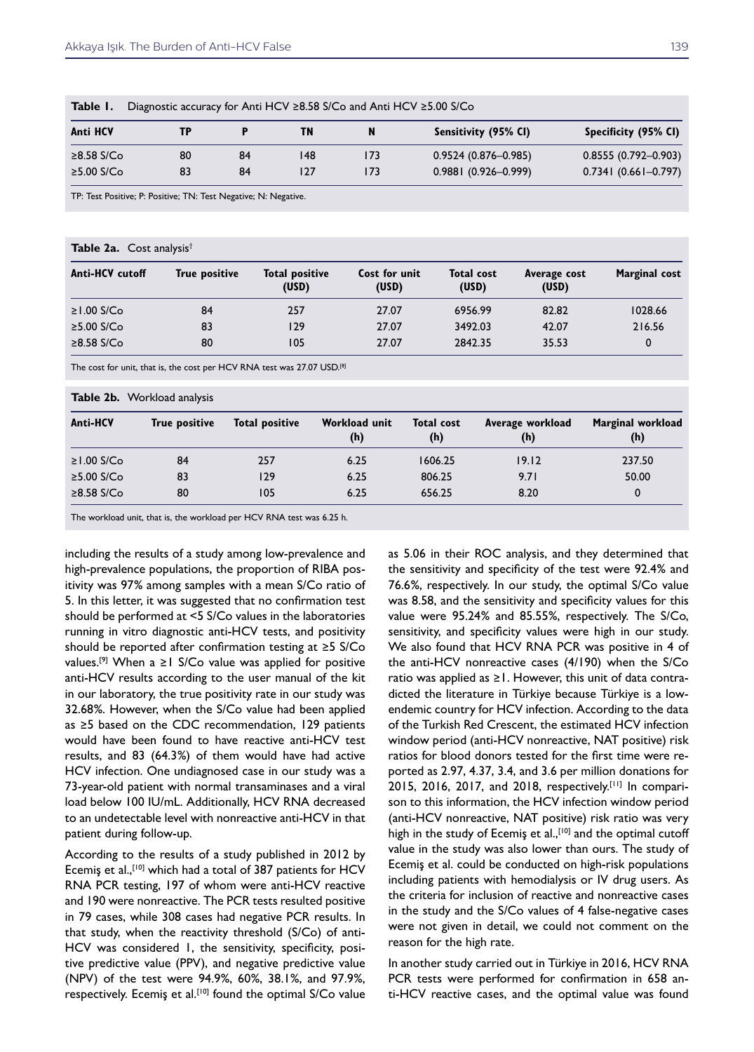| <b>Anti HCV</b> | TP |    | ΤN  |     | Sensitivity (95% CI)    | Specificity (95% CI)    |
|-----------------|----|----|-----|-----|-------------------------|-------------------------|
| ≥8.58 S/Co      | 80 | 84 | 148 | 173 | $0.9524(0.876 - 0.985)$ | $0.8555(0.792 - 0.903)$ |
| ≥5.00 S/Co      | 83 | 84 | 127 | 173 | $0.9881(0.926 - 0.999)$ | $0.7341(0.661 - 0.797)$ |

TP: Test Positive; P: Positive; TN: Test Negative; N: Negative.

#### **Table 2a.** Cost analysis†

| <b>Anti-HCV cutoff</b> | <b>True positive</b> | <b>Total positive</b><br>(USD) | Cost for unit<br>(USD) | <b>Total cost</b><br>(USD) | Average cost<br>(USD) | Marginal cost |
|------------------------|----------------------|--------------------------------|------------------------|----------------------------|-----------------------|---------------|
| $\geq$ 1.00 S/Co       | 84                   | 257                            | 27.07                  | 6956.99                    | 82.82                 | 1028.66       |
| $≥5.00$ S/Co           | 83                   | 129                            | 27.07                  | 3492.03                    | 42.07                 | 216.56        |
| $\geq$ 8.58 S/Co       | 80                   | 105                            | 27.07                  | 2842.35                    | 35.53                 | 0             |

The cost for unit, that is, the cost per HCV RNA test was 27.07 USD.[8]

**Table 2b.** Workload analysis

| <b>Anti-HCV</b>  | True positive | Total positive | Workload unit<br>(h) | <b>Total cost</b><br>(h) | Average workload<br>(h) | Marginal workload<br>(h) |
|------------------|---------------|----------------|----------------------|--------------------------|-------------------------|--------------------------|
| $≥1.00$ S/Co     | 84            | 257            | 6.25                 | 1606.25                  | 19.12                   | 237.50                   |
| $≥5.00$ S/Co     | 83            | 129            | 6.25                 | 806.25                   | 9.71                    | 50.00                    |
| $\geq$ 8.58 S/Co | 80            | 105            | 6.25                 | 656.25                   | 8.20                    | 0                        |

The workload unit, that is, the workload per HCV RNA test was 6.25 h.

including the results of a study among low-prevalence and high-prevalence populations, the proportion of RIBA positivity was 97% among samples with a mean S/Co ratio of 5. In this letter, it was suggested that no confirmation test should be performed at <5 S/Co values in the laboratories running in vitro diagnostic anti-HCV tests, and positivity should be reported after confirmation testing at ≥5 S/Co values.<sup>[9]</sup> When a ≥1 S/Co value was applied for positive anti-HCV results according to the user manual of the kit in our laboratory, the true positivity rate in our study was 32.68%. However, when the S/Co value had been applied as ≥5 based on the CDC recommendation, 129 patients would have been found to have reactive anti-HCV test results, and 83 (64.3%) of them would have had active HCV infection. One undiagnosed case in our study was a 73-year-old patient with normal transaminases and a viral load below 100 IU/mL. Additionally, HCV RNA decreased to an undetectable level with nonreactive anti-HCV in that patient during follow-up.

According to the results of a study published in 2012 by Ecemiş et al.,[10] which had a total of 387 patients for HCV RNA PCR testing, 197 of whom were anti-HCV reactive and 190 were nonreactive. The PCR tests resulted positive in 79 cases, while 308 cases had negative PCR results. In that study, when the reactivity threshold (S/Co) of anti-HCV was considered 1, the sensitivity, specificity, positive predictive value (PPV), and negative predictive value (NPV) of the test were 94.9%, 60%, 38.1%, and 97.9%, respectively. Ecemiş et al.<sup>[10]</sup> found the optimal S/Co value as 5.06 in their ROC analysis, and they determined that the sensitivity and specificity of the test were 92.4% and 76.6%, respectively. In our study, the optimal S/Co value was 8.58, and the sensitivity and specificity values for this value were 95.24% and 85.55%, respectively. The S/Co, sensitivity, and specificity values were high in our study. We also found that HCV RNA PCR was positive in 4 of the anti-HCV nonreactive cases (4/190) when the S/Co ratio was applied as ≥1. However, this unit of data contradicted the literature in Türkiye because Türkiye is a lowendemic country for HCV infection. According to the data of the Turkish Red Crescent, the estimated HCV infection window period (anti-HCV nonreactive, NAT positive) risk ratios for blood donors tested for the first time were reported as 2.97, 4.37, 3.4, and 3.6 per million donations for 2015, 2016, 2017, and 2018, respectively.[11] In comparison to this information, the HCV infection window period (anti-HCV nonreactive, NAT positive) risk ratio was very high in the study of Ecemiş et al.,<sup>[10]</sup> and the optimal cutoff value in the study was also lower than ours. The study of Ecemiş et al. could be conducted on high-risk populations including patients with hemodialysis or IV drug users. As the criteria for inclusion of reactive and nonreactive cases in the study and the S/Co values of 4 false-negative cases were not given in detail, we could not comment on the reason for the high rate.

In another study carried out in Türkiye in 2016, HCV RNA PCR tests were performed for confirmation in 658 anti-HCV reactive cases, and the optimal value was found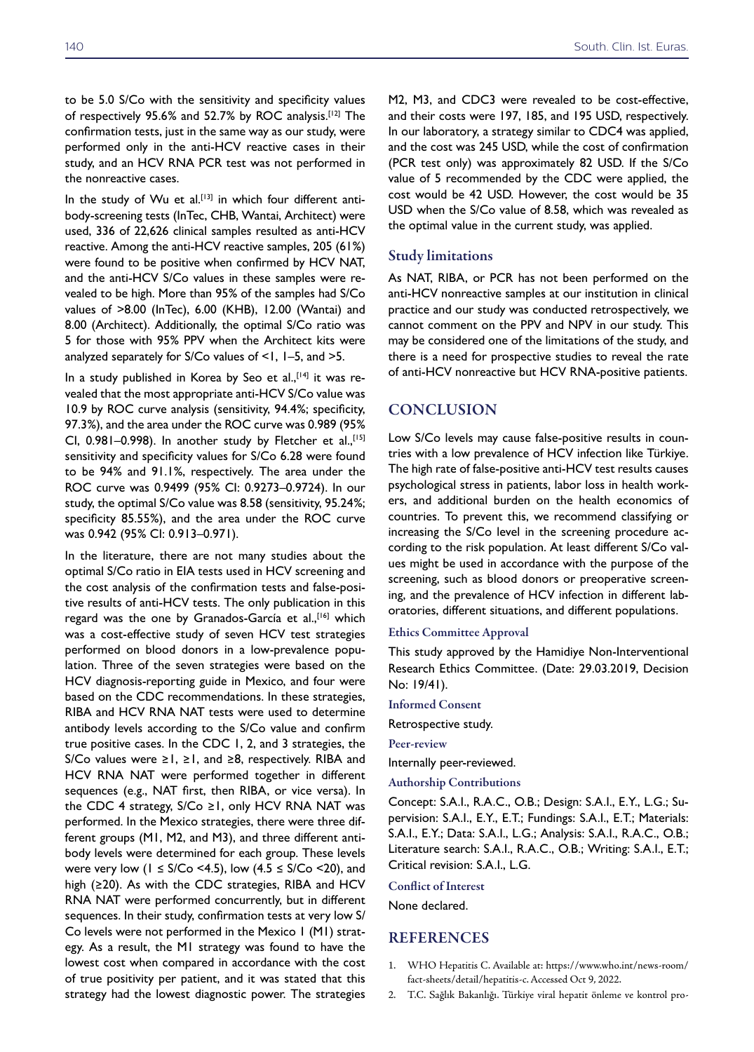the nonreactive cases.

to be 5.0 S/Co with the sensitivity and specificity values of respectively 95.6% and 52.7% by ROC analysis.[12] The confirmation tests, just in the same way as our study, were performed only in the anti-HCV reactive cases in their study, and an HCV RNA PCR test was not performed in

In the study of Wu et al.<sup>[13]</sup> in which four different antibody-screening tests (InTec, CHB, Wantai, Architect) were used, 336 of 22,626 clinical samples resulted as anti-HCV reactive. Among the anti-HCV reactive samples, 205 (61%) were found to be positive when confirmed by HCV NAT, and the anti-HCV S/Co values in these samples were revealed to be high. More than 95% of the samples had S/Co values of >8.00 (InTec), 6.00 (KHB), 12.00 (Wantai) and 8.00 (Architect). Additionally, the optimal S/Co ratio was 5 for those with 95% PPV when the Architect kits were analyzed separately for  $S/Co$  values of  $\leq 1$ ,  $I-S$ , and  $\geq 5$ .

In a study published in Korea by Seo et al., $[14]$  it was revealed that the most appropriate anti-HCV S/Co value was 10.9 by ROC curve analysis (sensitivity, 94.4%; specificity, 97.3%), and the area under the ROC curve was 0.989 (95% CI,  $0.981-0.998$ ). In another study by Fletcher et al., [15] sensitivity and specificity values for S/Co 6.28 were found to be 94% and 91.1%, respectively. The area under the ROC curve was 0.9499 (95% CI: 0.9273–0.9724). In our study, the optimal S/Co value was 8.58 (sensitivity, 95.24%; specificity 85.55%), and the area under the ROC curve was 0.942 (95% CI: 0.913–0.971).

In the literature, there are not many studies about the optimal S/Co ratio in EIA tests used in HCV screening and the cost analysis of the confirmation tests and false-positive results of anti-HCV tests. The only publication in this regard was the one by Granados-García et al., [16] which was a cost-effective study of seven HCV test strategies performed on blood donors in a low-prevalence population. Three of the seven strategies were based on the HCV diagnosis-reporting guide in Mexico, and four were based on the CDC recommendations. In these strategies, RIBA and HCV RNA NAT tests were used to determine antibody levels according to the S/Co value and confirm true positive cases. In the CDC 1, 2, and 3 strategies, the S/Co values were  $\geq 1$ ,  $\geq 1$ , and  $\geq 8$ , respectively. RIBA and HCV RNA NAT were performed together in different sequences (e.g., NAT first, then RIBA, or vice versa). In the CDC 4 strategy,  $S/Co \ge 1$ , only HCV RNA NAT was performed. In the Mexico strategies, there were three different groups (M1, M2, and M3), and three different antibody levels were determined for each group. These levels were very low (1  $\leq$  S/Co <4.5), low (4.5  $\leq$  S/Co <20), and high (≥20). As with the CDC strategies, RIBA and HCV RNA NAT were performed concurrently, but in different sequences. In their study, confirmation tests at very low S/ Co levels were not performed in the Mexico 1 (M1) strategy. As a result, the M1 strategy was found to have the lowest cost when compared in accordance with the cost of true positivity per patient, and it was stated that this strategy had the lowest diagnostic power. The strategies

140 South. Clin. Ist. Euras.

M2, M3, and CDC3 were revealed to be cost-effective, and their costs were 197, 185, and 195 USD, respectively. In our laboratory, a strategy similar to CDC4 was applied, and the cost was 245 USD, while the cost of confirmation (PCR test only) was approximately 82 USD. If the S/Co value of 5 recommended by the CDC were applied, the cost would be 42 USD. However, the cost would be 35 USD when the S/Co value of 8.58, which was revealed as the optimal value in the current study, was applied.

#### Study limitations

As NAT, RIBA, or PCR has not been performed on the anti-HCV nonreactive samples at our institution in clinical practice and our study was conducted retrospectively, we cannot comment on the PPV and NPV in our study. This may be considered one of the limitations of the study, and there is a need for prospective studies to reveal the rate of anti-HCV nonreactive but HCV RNA-positive patients.

#### **CONCLUSION**

Low S/Co levels may cause false-positive results in countries with a low prevalence of HCV infection like Türkiye. The high rate of false-positive anti-HCV test results causes psychological stress in patients, labor loss in health workers, and additional burden on the health economics of countries. To prevent this, we recommend classifying or increasing the S/Co level in the screening procedure according to the risk population. At least different S/Co values might be used in accordance with the purpose of the screening, such as blood donors or preoperative screening, and the prevalence of HCV infection in different laboratories, different situations, and different populations.

#### Ethics Committee Approval

This study approved by the Hamidiye Non-Interventional Research Ethics Committee. (Date: 29.03.2019, Decision No: 19/41).

Informed Consent

Retrospective study.

Peer-review

Internally peer-reviewed.

Authorship Contributions

Concept: S.A.I., R.A.C., O.B.; Design: S.A.I., E.Y., L.G.; Supervision: S.A.I., E.Y., E.T.; Fundings: S.A.I., E.T.; Materials: S.A.I., E.Y.; Data: S.A.I., L.G.; Analysis: S.A.I., R.A.C., O.B.; Literature search: S.A.I., R.A.C., O.B.; Writing: S.A.I., E.T.; Critical revision: S.A.I., L.G.

#### Conflict of Interest

None declared.

#### REFERENCES

- 1. WHO Hepatitis C. Available at: https://www.who.int/news-room/ fact-sheets/detail/hepatitis-c. Accessed Oct 9, 2022.
- 2. T.C. Sağlık Bakanlığı. Türkiye viral hepatit önleme ve kontrol pro-